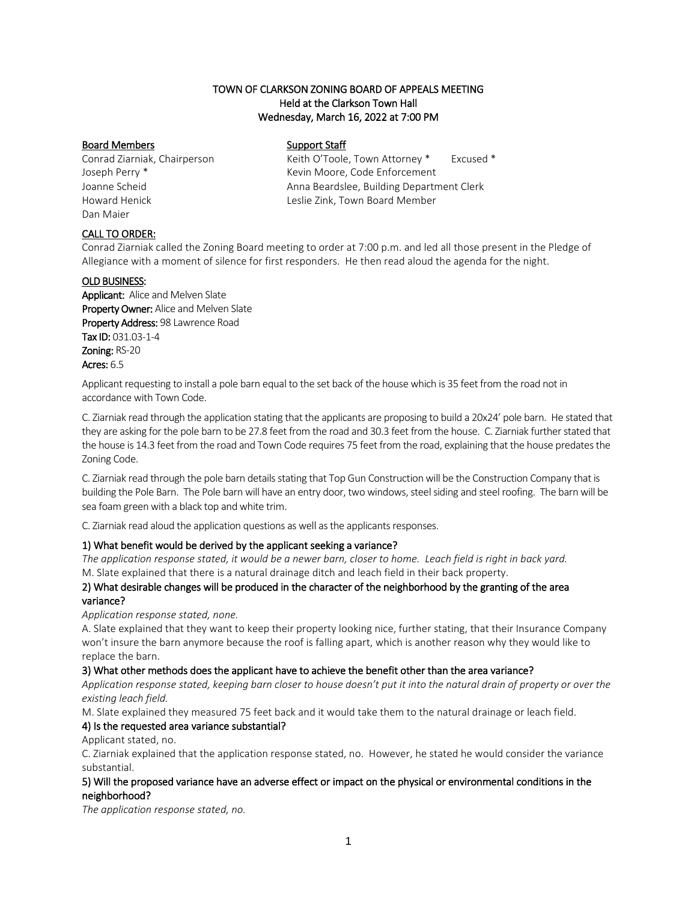## TOWN OF CLARKSON ZONING BOARD OF APPEALS MEETING Held at the Clarkson Town Hall Wednesday, March 16, 2022 at 7:00 PM

## Board Members Support Staff

Dan Maier

Conrad Ziarniak, Chairperson Keith O'Toole, Town Attorney \* Excused \* Joseph Perry \* Kevin Moore, Code Enforcement Joanne Scheid Anna Beardslee, Building Department Clerk Howard Henick Leslie Zink, Town Board Member

# CALL TO ORDER:

Conrad Ziarniak called the Zoning Board meeting to order at 7:00 p.m. and led all those present in the Pledge of Allegiance with a moment of silence for first responders. He then read aloud the agenda for the night.

## OLD BUSINESS:

Applicant: Alice and Melven Slate Property Owner: Alice and Melven Slate Property Address: 98 Lawrence Road Tax ID: 031.03-1-4 Zoning: RS-20 Acres: 6.5

Applicant requesting to install a pole barn equal to the set back of the house which is 35 feet from the road not in accordance with Town Code.

C. Ziarniak read through the application stating that the applicants are proposing to build a 20x24' pole barn. He stated that they are asking for the pole barn to be 27.8 feet from the road and 30.3 feet from the house. C. Ziarniak further stated that the house is 14.3 feet from the road and Town Code requires 75 feet from the road, explaining that the house predates the Zoning Code.

C. Ziarniak read through the pole barn details stating that Top Gun Construction will be the Construction Company that is building the Pole Barn. The Pole barn will have an entry door, two windows, steel siding and steel roofing. The barn will be sea foam green with a black top and white trim.

C. Ziarniak read aloud the application questions as well as the applicants responses.

# 1) What benefit would be derived by the applicant seeking a variance?

*The application response stated, it would be a newer barn, closer to home. Leach field is right in back yard.* M. Slate explained that there is a natural drainage ditch and leach field in their back property.

#### 2) What desirable changes will be produced in the character of the neighborhood by the granting of the area variance?

*Application response stated, none.*

A. Slate explained that they want to keep their property looking nice, further stating, that their Insurance Company won't insure the barn anymore because the roof is falling apart, which is another reason why they would like to replace the barn.

# 3) What other methods does the applicant have to achieve the benefit other than the area variance?

*Application response stated, keeping barn closer to house doesn't put it into the natural drain of property or over the existing leach field.*

M. Slate explained they measured 75 feet back and it would take them to the natural drainage or leach field.

# 4) Is the requested area variance substantial?

Applicant stated, no.

C. Ziarniak explained that the application response stated, no. However, he stated he would consider the variance substantial.

## 5) Will the proposed variance have an adverse effect or impact on the physical or environmental conditions in the neighborhood?

*The application response stated, no.*